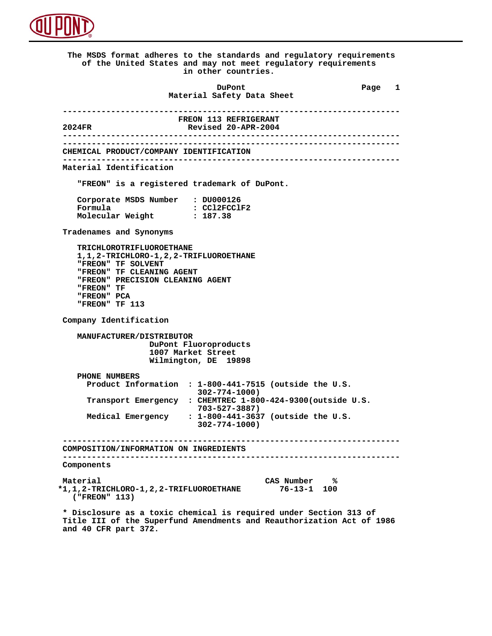

 **The MSDS format adheres to the standards and regulatory requirements of the United States and may not meet regulatory requirements in other countries. DuPont Different Page 1 Material Safety Data Sheet ---------------------------------------------------------------------- FREON 113 REFRIGERANT**<br>**2024FR** Revised 20-APR-2004  **2024FR Revised 20-APR-2004 ---------------------------------------------------------------------- ---------------------------------------------------------------------- CHEMICAL PRODUCT/COMPANY IDENTIFICATION ---------------------------------------------------------------------- Material Identification "FREON" is a registered trademark of DuPont. Corporate MSDS Number : DU000126**<br>**Formula : CCl2FCCl : CCl2FCClF2**<br>: 187.38 **Molecular Weight Tradenames and Synonyms TRICHLOROTRIFLUOROETHANE 1,1,2-TRICHLORO-1,2,2-TRIFLUOROETHANE "FREON" TF SOLVENT "FREON" TF CLEANING AGENT "FREON" PRECISION CLEANING AGENT "FREON" TF "FREON" PCA "FREON" TF 113 Company Identification MANUFACTURER/DISTRIBUTOR DuPont Fluoroproducts 1007 Market Street Wilmington, DE 19898 PHONE NUMBERS Product Information : 1-800-441-7515 (outside the U.S. 302-774-1000) Transport Emergency : CHEMTREC 1-800-424-9300(outside U.S. 703-527-3887) Medical Emergency : 1-800-441-3637 (outside the U.S. 302-774-1000) ---------------------------------------------------------------------- COMPOSITION/INFORMATION ON INGREDIENTS ---------------------------------------------------------------------- Components Material CAS Number % \*1,1,2-TRICHLORO-1,2,2-TRIFLUOROETHANE 76-13-1 100 ("FREON" 113) \* Disclosure as a toxic chemical is required under Section 313 of Title III of the Superfund Amendments and Reauthorization Act of 1986**

 **and 40 CFR part 372.**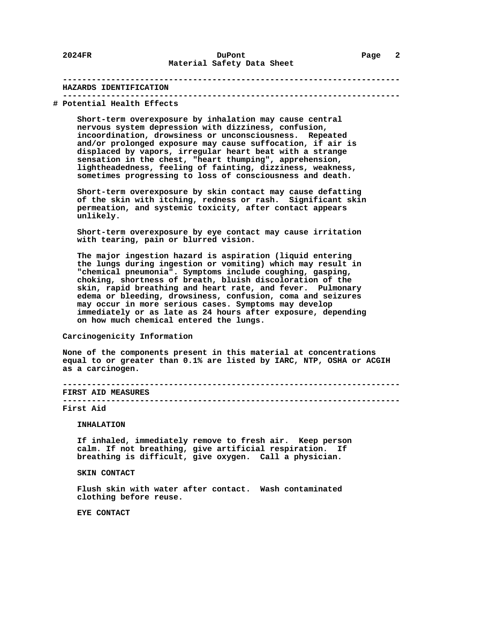## **---------------------------------------------------------------------- HAZARDS IDENTIFICATION ----------------------------------------------------------------------**

#### **# Potential Health Effects**

 **Short-term overexposure by inhalation may cause central nervous system depression with dizziness, confusion, incoordination, drowsiness or unconsciousness. Repeated and/or prolonged exposure may cause suffocation, if air is displaced by vapors, irregular heart beat with a strange sensation in the chest, "heart thumping", apprehension, lightheadedness, feeling of fainting, dizziness, weakness, sometimes progressing to loss of consciousness and death.**

 **Short-term overexposure by skin contact may cause defatting of the skin with itching, redness or rash. Significant skin permeation, and systemic toxicity, after contact appears unlikely.**

 **Short-term overexposure by eye contact may cause irritation with tearing, pain or blurred vision.**

 **The major ingestion hazard is aspiration (liquid entering the lungs during ingestion or vomiting) which may result in "chemical pneumonia". Symptoms include coughing, gasping, choking, shortness of breath, bluish discoloration of the skin, rapid breathing and heart rate, and fever. Pulmonary edema or bleeding, drowsiness, confusion, coma and seizures may occur in more serious cases. Symptoms may develop immediately or as late as 24 hours after exposure, depending on how much chemical entered the lungs.**

## **Carcinogenicity Information**

 **None of the components present in this material at concentrations equal to or greater than 0.1% are listed by IARC, NTP, OSHA or ACGIH as a carcinogen.**

 **---------------------------------------------------------------------- FIRST AID MEASURES**

 **----------------------------------------------------------------------**

## **First Aid**

 **INHALATION**

 **If inhaled, immediately remove to fresh air. Keep person calm. If not breathing, give artificial respiration. If breathing is difficult, give oxygen. Call a physician.**

 **SKIN CONTACT**

 **Flush skin with water after contact. Wash contaminated clothing before reuse.**

 **EYE CONTACT**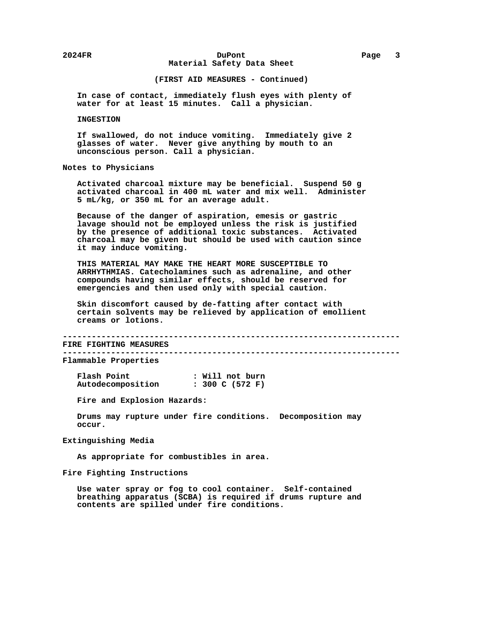# **2024FR DuPont Page 3 Material Safety Data Sheet**

# **(FIRST AID MEASURES - Continued)**

 **In case of contact, immediately flush eyes with plenty of water for at least 15 minutes. Call a physician.**

## **INGESTION**

 **If swallowed, do not induce vomiting. Immediately give 2 glasses of water. Never give anything by mouth to an unconscious person. Call a physician.**

# **Notes to Physicians**

 **Activated charcoal mixture may be beneficial. Suspend 50 g activated charcoal in 400 mL water and mix well. Administer 5 mL/kg, or 350 mL for an average adult.**

 **Because of the danger of aspiration, emesis or gastric lavage should not be employed unless the risk is justified by the presence of additional toxic substances. Activated charcoal may be given but should be used with caution since it may induce vomiting.**

 **THIS MATERIAL MAY MAKE THE HEART MORE SUSCEPTIBLE TO ARRHYTHMIAS. Catecholamines such as adrenaline, and other compounds having similar effects, should be reserved for emergencies and then used only with special caution.**

 **Skin discomfort caused by de-fatting after contact with certain solvents may be relieved by application of emollient creams or lotions.**

 **----------------------------------------------------------------------**

 **FIRE FIGHTING MEASURES ----------------------------------------------------------------------**

 **Flammable Properties**

| Flash Point       | : Will not burn |
|-------------------|-----------------|
| Autodecomposition | : 300 C (572 F) |

 **Fire and Explosion Hazards:**

 **Drums may rupture under fire conditions. Decomposition may occur.**

# **Extinguishing Media**

 **As appropriate for combustibles in area.**

# **Fire Fighting Instructions**

 **Use water spray or fog to cool container. Self-contained breathing apparatus (SCBA) is required if drums rupture and contents are spilled under fire conditions.**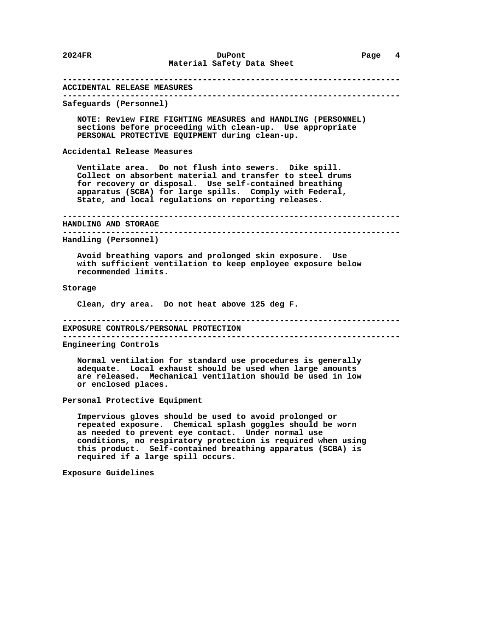# **---------------------------------------------------------------------- ACCIDENTAL RELEASE MEASURES ---------------------------------------------------------------------- Safeguards (Personnel) NOTE: Review FIRE FIGHTING MEASURES and HANDLING (PERSONNEL) sections before proceeding with clean-up. Use appropriate PERSONAL PROTECTIVE EQUIPMENT during clean-up. Accidental Release Measures Ventilate area. Do not flush into sewers. Dike spill. Collect on absorbent material and transfer to steel drums for recovery or disposal. Use self-contained breathing apparatus (SCBA) for large spills. Comply with Federal, State, and local regulations on reporting releases. ---------------------------------------------------------------------- HANDLING AND STORAGE ---------------------------------------------------------------------- Handling (Personnel) Avoid breathing vapors and prolonged skin exposure. Use with sufficient ventilation to keep employee exposure below recommended limits. Storage Clean, dry area. Do not heat above 125 deg F. ---------------------------------------------------------------------- EXPOSURE CONTROLS/PERSONAL PROTECTION ---------------------------------------------------------------------- Engineering Controls Normal ventilation for standard use procedures is generally adequate. Local exhaust should be used when large amounts are released. Mechanical ventilation should be used in low or enclosed places. Personal Protective Equipment Impervious gloves should be used to avoid prolonged or repeated exposure. Chemical splash goggles should be worn as needed to prevent eye contact. Under normal use conditions, no respiratory protection is required when using**

 **this product. Self-contained breathing apparatus (SCBA) is**

 **required if a large spill occurs.**

 **Exposure Guidelines**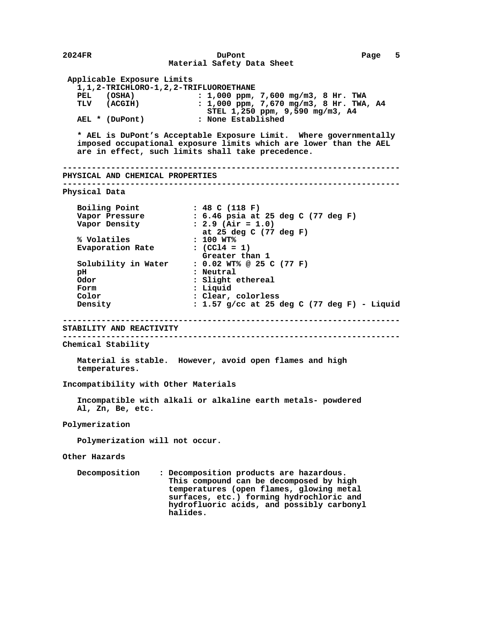```
 2024FR DuPont Page 5
                             Material Safety Data Sheet
        Applicable Exposure Limits
          1,1,2-TRICHLORO-1,2,2-TRIFLUOROETHANE
          PEL (OSHA) : 1,000 ppm, 7,600 mg/m3, 8 Hr. TWA
          TLV (ACGIH) : 1,000 ppm, 7,670 mg/m3, 8 Hr. TWA, A4
         AEL * (DuPont) STEL 1,250 ppm, 9,590 mg/m3, A4<br>REL * (DuPont) : None Established
                                  : None Established
          * AEL is DuPont's Acceptable Exposure Limit. Where governmentally
          imposed occupational exposure limits which are lower than the AEL
          are in effect, such limits shall take precedence.
        ----------------------------------------------------------------------
       PHYSICAL AND CHEMICAL PROPERTIES
        ----------------------------------------------------------------------
       Physical Data
         Boiling Point : 48 C (118 F)<br>
Vapor Pressure : 6.46 psia at<br>
Vapor Density : 2.9 (Air = 1)
 Vapor Pressure : 6.46 psia at 25 deg C (77 deg F)
 Vapor Density : 2.9 (Air = 1.0)
                                 at 25 deg C (77 deg F)
          % Volatiles : 100 WT%
         Evaporation Rate
         Greater than 1<br>1 Greater conductantly in Water conduct conduct conduct
                                 Solubility in Water : 0.02 WT% @ 25 C (77 F)
         pH : Neutral<br>Odor : Slight ،
                                 : Slight ethereal
          Form : Liquid
          Color : Clear, colorless
          Density : 1.57 g/cc at 25 deg C (77 deg F) - Liquid
        ----------------------------------------------------------------------
       STABILITY AND REACTIVITY
       ----------------------------------------------------------------------
       Chemical Stability
          Material is stable. However, avoid open flames and high
          temperatures.
       Incompatibility with Other Materials
          Incompatible with alkali or alkaline earth metals- powdered
          Al, Zn, Be, etc.
       Polymerization
          Polymerization will not occur.
       Other Hazards
          Decomposition : Decomposition products are hazardous.
                             This compound can be decomposed by high
                             temperatures (open flames, glowing metal
                             surfaces, etc.) forming hydrochloric and
                             hydrofluoric acids, and possibly carbonyl
                             halides.
```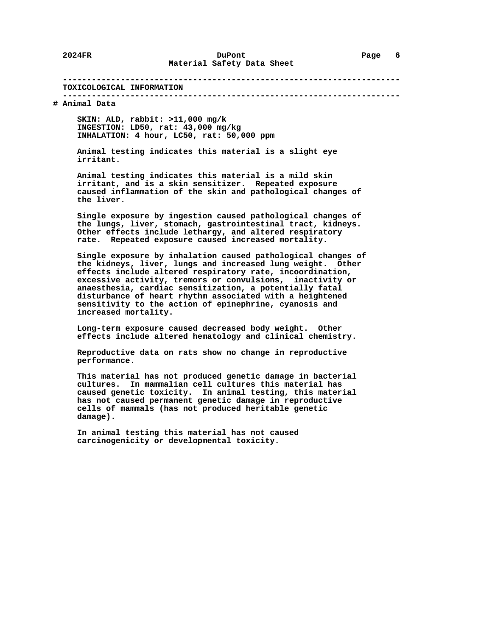#### **---------------------------------------------------------------------- TOXICOLOGICAL INFORMATION**

#### **----------------------------------------------------------------------**

# **# Animal Data**

 **SKIN: ALD, rabbit: >11,000 mg/k INGESTION: LD50, rat: 43,000 mg/kg INHALATION: 4 hour, LC50, rat: 50,000 ppm**

 **Animal testing indicates this material is a slight eye irritant.**

 **Animal testing indicates this material is a mild skin irritant, and is a skin sensitizer. Repeated exposure caused inflammation of the skin and pathological changes of the liver.**

 **Single exposure by ingestion caused pathological changes of the lungs, liver, stomach, gastrointestinal tract, kidneys. Other effects include lethargy, and altered respiratory rate. Repeated exposure caused increased mortality.**

 **Single exposure by inhalation caused pathological changes of the kidneys, liver, lungs and increased lung weight. Other effects include altered respiratory rate, incoordination, excessive activity, tremors or convulsions, inactivity or anaesthesia, cardiac sensitization, a potentially fatal disturbance of heart rhythm associated with a heightened sensitivity to the action of epinephrine, cyanosis and increased mortality.**

 **Long-term exposure caused decreased body weight. Other effects include altered hematology and clinical chemistry.**

 **Reproductive data on rats show no change in reproductive performance.**

 **This material has not produced genetic damage in bacterial cultures. In mammalian cell cultures this material has caused genetic toxicity. In animal testing, this material has not caused permanent genetic damage in reproductive cells of mammals (has not produced heritable genetic damage).**

 **In animal testing this material has not caused carcinogenicity or developmental toxicity.**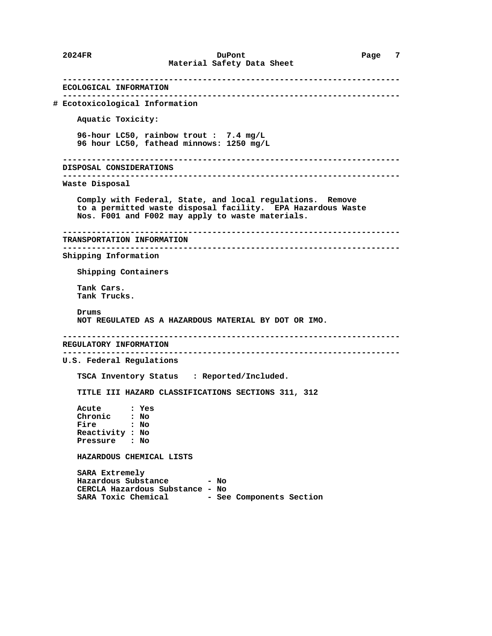**---------------------------------------------------------------------- ECOLOGICAL INFORMATION ---------------------------------------------------------------------- # Ecotoxicological Information Aquatic Toxicity: 96-hour LC50, rainbow trout : 7.4 mg/L 96 hour LC50, fathead minnows: 1250 mg/L ---------------------------------------------------------------------- DISPOSAL CONSIDERATIONS ---------------------------------------------------------------------- Waste Disposal Comply with Federal, State, and local regulations. Remove to a permitted waste disposal facility. EPA Hazardous Waste Nos. F001 and F002 may apply to waste materials. ---------------------------------------------------------------------- TRANSPORTATION INFORMATION ---------------------------------------------------------------------- Shipping Information Shipping Containers Tank Cars. Tank Trucks. Drums NOT REGULATED AS A HAZARDOUS MATERIAL BY DOT OR IMO. ---------------------------------------------------------------------- REGULATORY INFORMATION ---------------------------------------------------------------------- U.S. Federal Regulations TSCA Inventory Status : Reported/Included. TITLE III HAZARD CLASSIFICATIONS SECTIONS 311, 312 Acute : Yes Chronic : No Fire : No Reactivity : No**  $P$ *ressure*  **HAZARDOUS CHEMICAL LISTS SARA Extremely Hazardous Substance - No CERCLA Hazardous Substance - No** SARA Toxic Chemical - See Components Section